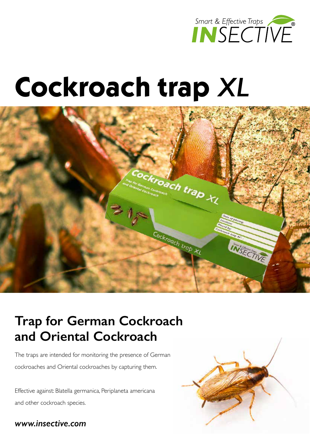

# **Cockroach trap** *XL*



### **Trap for German Cockroach and Oriental Cockroach**

The traps are intended for monitoring the presence of German cockroaches and Oriental cockroaches by capturing them.

Effective against: Blatella germanica, Periplaneta americana and other cockroach species.

#### *www.insective.com*